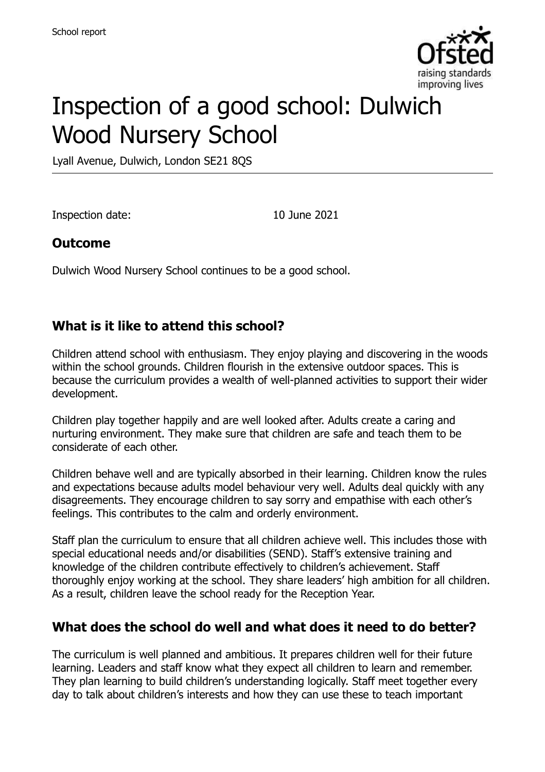

# Inspection of a good school: Dulwich Wood Nursery School

Lyall Avenue, Dulwich, London SE21 8QS

Inspection date: 10 June 2021

#### **Outcome**

Dulwich Wood Nursery School continues to be a good school.

#### **What is it like to attend this school?**

Children attend school with enthusiasm. They enjoy playing and discovering in the woods within the school grounds. Children flourish in the extensive outdoor spaces. This is because the curriculum provides a wealth of well-planned activities to support their wider development.

Children play together happily and are well looked after. Adults create a caring and nurturing environment. They make sure that children are safe and teach them to be considerate of each other.

Children behave well and are typically absorbed in their learning. Children know the rules and expectations because adults model behaviour very well. Adults deal quickly with any disagreements. They encourage children to say sorry and empathise with each other's feelings. This contributes to the calm and orderly environment.

Staff plan the curriculum to ensure that all children achieve well. This includes those with special educational needs and/or disabilities (SEND). Staff's extensive training and knowledge of the children contribute effectively to children's achievement. Staff thoroughly enjoy working at the school. They share leaders' high ambition for all children. As a result, children leave the school ready for the Reception Year.

#### **What does the school do well and what does it need to do better?**

The curriculum is well planned and ambitious. It prepares children well for their future learning. Leaders and staff know what they expect all children to learn and remember. They plan learning to build children's understanding logically. Staff meet together every day to talk about children's interests and how they can use these to teach important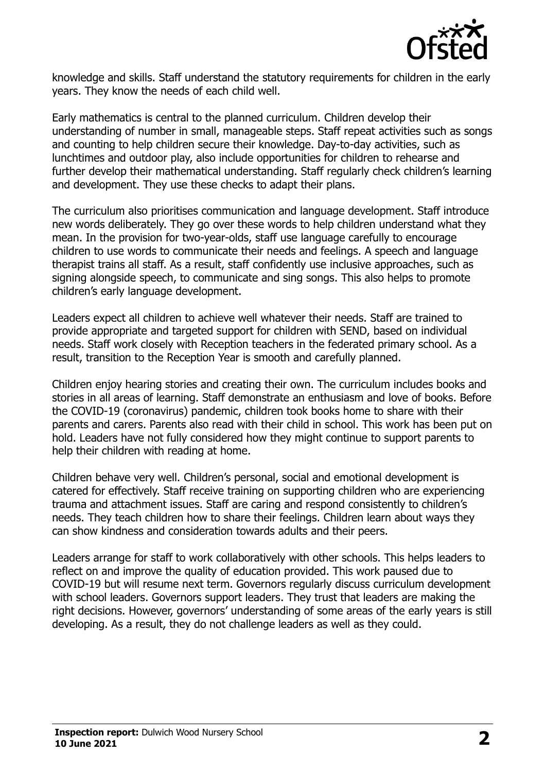

knowledge and skills. Staff understand the statutory requirements for children in the early years. They know the needs of each child well.

Early mathematics is central to the planned curriculum. Children develop their understanding of number in small, manageable steps. Staff repeat activities such as songs and counting to help children secure their knowledge. Day-to-day activities, such as lunchtimes and outdoor play, also include opportunities for children to rehearse and further develop their mathematical understanding. Staff regularly check children's learning and development. They use these checks to adapt their plans.

The curriculum also prioritises communication and language development. Staff introduce new words deliberately. They go over these words to help children understand what they mean. In the provision for two-year-olds, staff use language carefully to encourage children to use words to communicate their needs and feelings. A speech and language therapist trains all staff. As a result, staff confidently use inclusive approaches, such as signing alongside speech, to communicate and sing songs. This also helps to promote children's early language development.

Leaders expect all children to achieve well whatever their needs. Staff are trained to provide appropriate and targeted support for children with SEND, based on individual needs. Staff work closely with Reception teachers in the federated primary school. As a result, transition to the Reception Year is smooth and carefully planned.

Children enjoy hearing stories and creating their own. The curriculum includes books and stories in all areas of learning. Staff demonstrate an enthusiasm and love of books. Before the COVID-19 (coronavirus) pandemic, children took books home to share with their parents and carers. Parents also read with their child in school. This work has been put on hold. Leaders have not fully considered how they might continue to support parents to help their children with reading at home.

Children behave very well. Children's personal, social and emotional development is catered for effectively. Staff receive training on supporting children who are experiencing trauma and attachment issues. Staff are caring and respond consistently to children's needs. They teach children how to share their feelings. Children learn about ways they can show kindness and consideration towards adults and their peers.

Leaders arrange for staff to work collaboratively with other schools. This helps leaders to reflect on and improve the quality of education provided. This work paused due to COVID-19 but will resume next term. Governors regularly discuss curriculum development with school leaders. Governors support leaders. They trust that leaders are making the right decisions. However, governors' understanding of some areas of the early years is still developing. As a result, they do not challenge leaders as well as they could.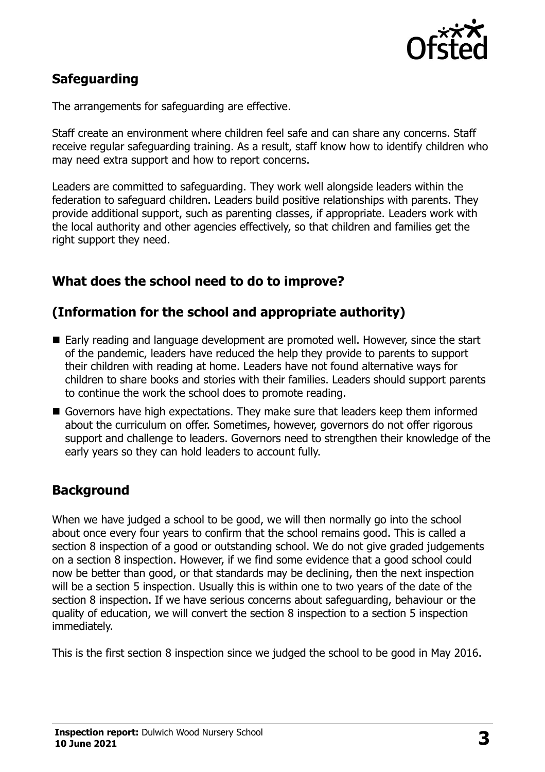

# **Safeguarding**

The arrangements for safeguarding are effective.

Staff create an environment where children feel safe and can share any concerns. Staff receive regular safeguarding training. As a result, staff know how to identify children who may need extra support and how to report concerns.

Leaders are committed to safeguarding. They work well alongside leaders within the federation to safeguard children. Leaders build positive relationships with parents. They provide additional support, such as parenting classes, if appropriate. Leaders work with the local authority and other agencies effectively, so that children and families get the right support they need.

# **What does the school need to do to improve?**

#### **(Information for the school and appropriate authority)**

- Early reading and language development are promoted well. However, since the start of the pandemic, leaders have reduced the help they provide to parents to support their children with reading at home. Leaders have not found alternative ways for children to share books and stories with their families. Leaders should support parents to continue the work the school does to promote reading.
- Governors have high expectations. They make sure that leaders keep them informed about the curriculum on offer. Sometimes, however, governors do not offer rigorous support and challenge to leaders. Governors need to strengthen their knowledge of the early years so they can hold leaders to account fully.

# **Background**

When we have judged a school to be good, we will then normally go into the school about once every four years to confirm that the school remains good. This is called a section 8 inspection of a good or outstanding school. We do not give graded judgements on a section 8 inspection. However, if we find some evidence that a good school could now be better than good, or that standards may be declining, then the next inspection will be a section 5 inspection. Usually this is within one to two years of the date of the section 8 inspection. If we have serious concerns about safeguarding, behaviour or the quality of education, we will convert the section 8 inspection to a section 5 inspection immediately.

This is the first section 8 inspection since we judged the school to be good in May 2016.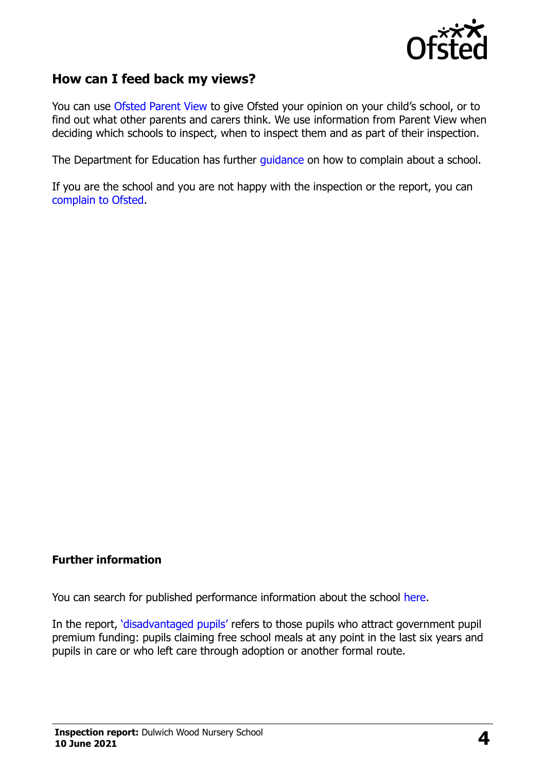

#### **How can I feed back my views?**

You can use [Ofsted Parent View](https://parentview.ofsted.gov.uk/) to give Ofsted your opinion on your child's school, or to find out what other parents and carers think. We use information from Parent View when deciding which schools to inspect, when to inspect them and as part of their inspection.

The Department for Education has further [guidance](http://www.gov.uk/complain-about-school) on how to complain about a school.

If you are the school and you are not happy with the inspection or the report, you can [complain to Ofsted.](https://www.gov.uk/complain-ofsted-report)

#### **Further information**

You can search for published performance information about the school [here.](http://www.compare-school-performance.service.gov.uk/)

In the report, '[disadvantaged pupils](http://www.gov.uk/guidance/pupil-premium-information-for-schools-and-alternative-provision-settings)' refers to those pupils who attract government pupil premium funding: pupils claiming free school meals at any point in the last six years and pupils in care or who left care through adoption or another formal route.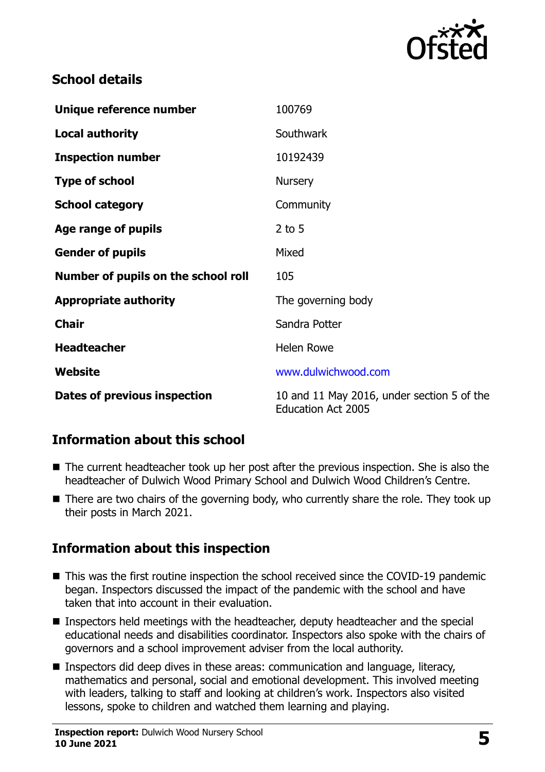

#### **School details**

| Unique reference number             | 100769                                                                  |
|-------------------------------------|-------------------------------------------------------------------------|
| <b>Local authority</b>              | Southwark                                                               |
| <b>Inspection number</b>            | 10192439                                                                |
| <b>Type of school</b>               | <b>Nursery</b>                                                          |
| <b>School category</b>              | Community                                                               |
| Age range of pupils                 | $2$ to 5                                                                |
| <b>Gender of pupils</b>             | Mixed                                                                   |
| Number of pupils on the school roll | 105                                                                     |
| <b>Appropriate authority</b>        | The governing body                                                      |
| <b>Chair</b>                        | Sandra Potter                                                           |
| <b>Headteacher</b>                  | <b>Helen Rowe</b>                                                       |
| Website                             | www.dulwichwood.com                                                     |
| Dates of previous inspection        | 10 and 11 May 2016, under section 5 of the<br><b>Education Act 2005</b> |

# **Information about this school**

- The current headteacher took up her post after the previous inspection. She is also the headteacher of Dulwich Wood Primary School and Dulwich Wood Children's Centre.
- There are two chairs of the governing body, who currently share the role. They took up their posts in March 2021.

# **Information about this inspection**

- This was the first routine inspection the school received since the COVID-19 pandemic began. Inspectors discussed the impact of the pandemic with the school and have taken that into account in their evaluation.
- Inspectors held meetings with the headteacher, deputy headteacher and the special educational needs and disabilities coordinator. Inspectors also spoke with the chairs of governors and a school improvement adviser from the local authority.
- Inspectors did deep dives in these areas: communication and language, literacy, mathematics and personal, social and emotional development. This involved meeting with leaders, talking to staff and looking at children's work. Inspectors also visited lessons, spoke to children and watched them learning and playing.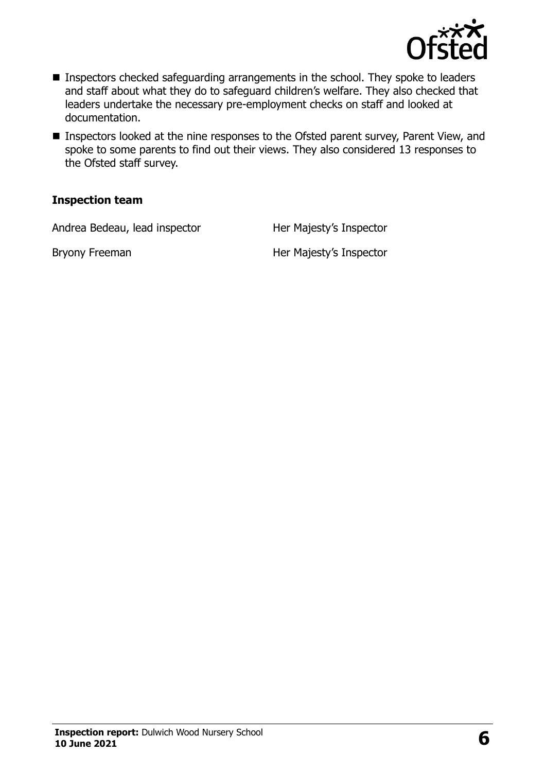

- **Inspectors checked safeguarding arrangements in the school. They spoke to leaders** and staff about what they do to safeguard children's welfare. They also checked that leaders undertake the necessary pre-employment checks on staff and looked at documentation.
- **Inspectors looked at the nine responses to the Ofsted parent survey, Parent View, and** spoke to some parents to find out their views. They also considered 13 responses to the Ofsted staff survey.

#### **Inspection team**

Andrea Bedeau, lead inspector Her Majesty's Inspector

Bryony Freeman Her Majesty's Inspector